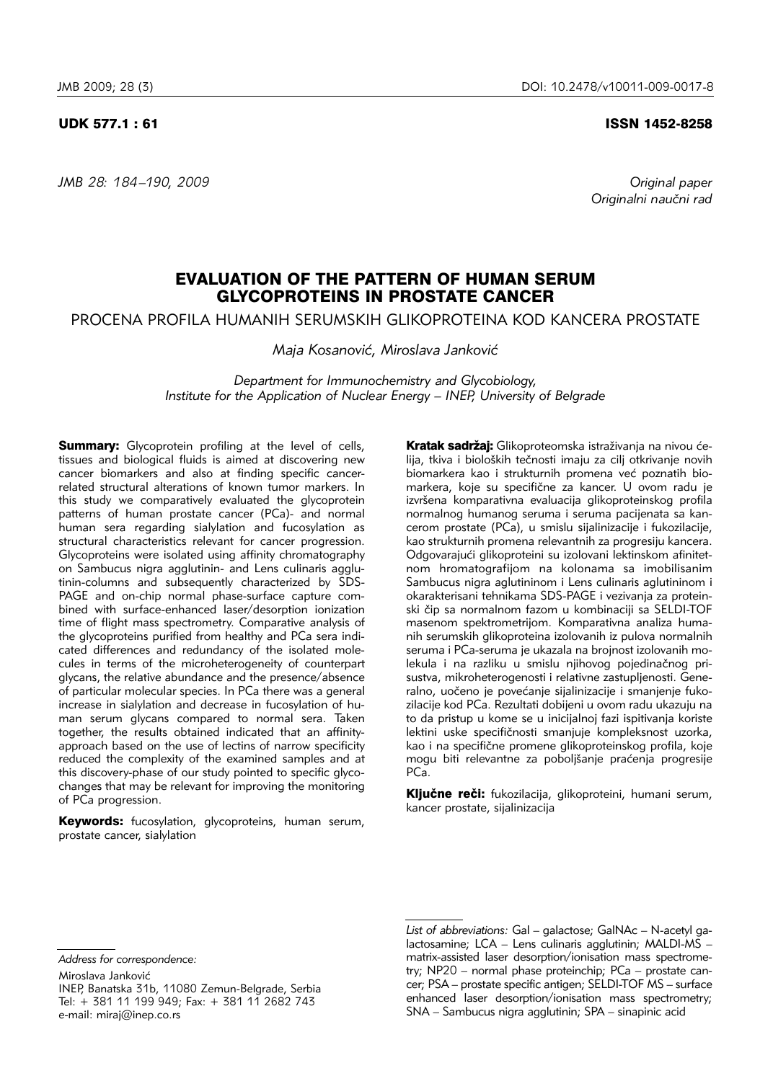*JMB 28: 184 –190, 2009 Original paper*

### UDK 577.1 : 61 ISSN 1452-8258

*Originalni nau~ni rad*

# EVALUATION OF THE PATTERN OF HUMAN SERUM GLYCOPROTEINS IN PROSTATE CANCER

PROCENA PROFILA HUMANIH SERUMSKIH GLIKOPROTEINA KOD KANCERA PROSTATE

*Maja Kosanović, Miroslava Janković* 

*Department for Immunochemistry and Glycobiology, Institute for the Application of Nuclear Energy – INEP, University of Belgrade*

**Summary:** Glycoprotein profiling at the level of cells, tissues and biological fluids is aimed at discovering new cancer biomarkers and also at finding specific cancerrelated structural alterations of known tumor markers. In this study we comparatively evaluated the glycoprotein patterns of human prostate cancer (PCa)- and normal .<br>human sera regarding sialylation and fucosylation as structural characteristics relevant for cancer progression. Glycoproteins were isolated using affinity chromatography on Sambucus nigra agglutinin- and Lens culinaris agglutinin-columns and subsequently characterized by SDS-PAGE and on-chip normal phase-surface capture combined with surface-enhanced laser/desorption ionization time of flight mass spectrometry. Comparative analysis of the glycoproteins purified from healthy and PCa sera indicated differences and redundancy of the isolated molecules in terms of the microheterogeneity of counterpart glycans, the relative abundance and the presence/absence of particular molecular species. In PCa there was a general increase in sialylation and decrease in fucosylation of human serum glycans compared to normal sera. Taken together, the results obtained indicated that an affinityapproach based on the use of lectins of narrow specificity reduced the complexity of the examined samples and at this discovery-phase of our study pointed to specific glycochanges that may be relevant for improving the monitoring of PCa progression.

Keywords: fucosylation, glycoproteins, human serum, prostate cancer, sialylation

Kratak sadržaj: Glikoproteomska istraživanja na nivou ćelija, tkiva i bioloških tečnosti imaju za cilj otkrivanje novih biomarkera kao i strukturnih promena već poznatih biomarkera, koje su specifične za kancer. U ovom radu je izvršena komparativna evaluacija glikoproteinskog profila normalnog humanog seruma i seruma pacijenata sa kancerom prostate (PCa), u smislu sijalinizacije i fukozilacije, kao strukturnih promena relevantnih za progresiju kancera. Odgovarajući glikoproteini su izolovani lektinskom afinitetnom hromatografijom na kolonama sa imobilisanim Sambucus nigra aglutininom i Lens culinaris aglutininom i okarakterisani tehnikama SDS-PAGE i vezivanja za protein ski čip sa normalnom fazom u kombinaciji sa SELDI-TOF masenom spektrometrijom. Komparativna analiza humanih serumskih glikoproteina izolovanih iz pulova normalnih seruma i PCa-seruma je ukazala na brojnost izolovanih molekula i na razliku u smislu njihovog pojedinačnog prisustva, mikroheterogenosti i relativne zastupljenosti. Gene ralno, uočeno je povećanje sijalinizacije i smanjenje fukozilacije kod PCa. Rezultati dobijeni u ovom radu ukazuju na to da pristup u kome se u inicijalnoj fazi ispitivanja koriste lektini uske specifičnosti smanjuje kompleksnost uzorka, kao i na specifične promene glikoproteinskog profila, koje mogu biti relevantne za poboljšanje praćenja progresije PCa.

Ključne reči: fukozilacija, glikoproteini, humani serum, kancer prostate, sijalinizacija

*Address for correspondence:*

Miroslava Janković INEP, Banatska 31b, 11080 Zemun-Belgrade, Serbia Tel: + 381 11 199 949; Fax: + 381 11 2682 743 e-mail: miraj@inep.co.rs

List of abbreviations: Gal – galactose; GalNAc – N-acetyl galactosamine; LCA – Lens culinaris agglutinin; MALDI-MS – matrix-assisted laser desorption/ionisation mass spectrometry; NP20 – normal phase proteinchip; PCa – prostate can cer; PSA – prostate specific antigen; SELDI-TOF MS – sur face enhanced laser desorption/ionisation mass spectrometry; SNA – Sambucus nigra agglutinin; SPA – sinapinic acid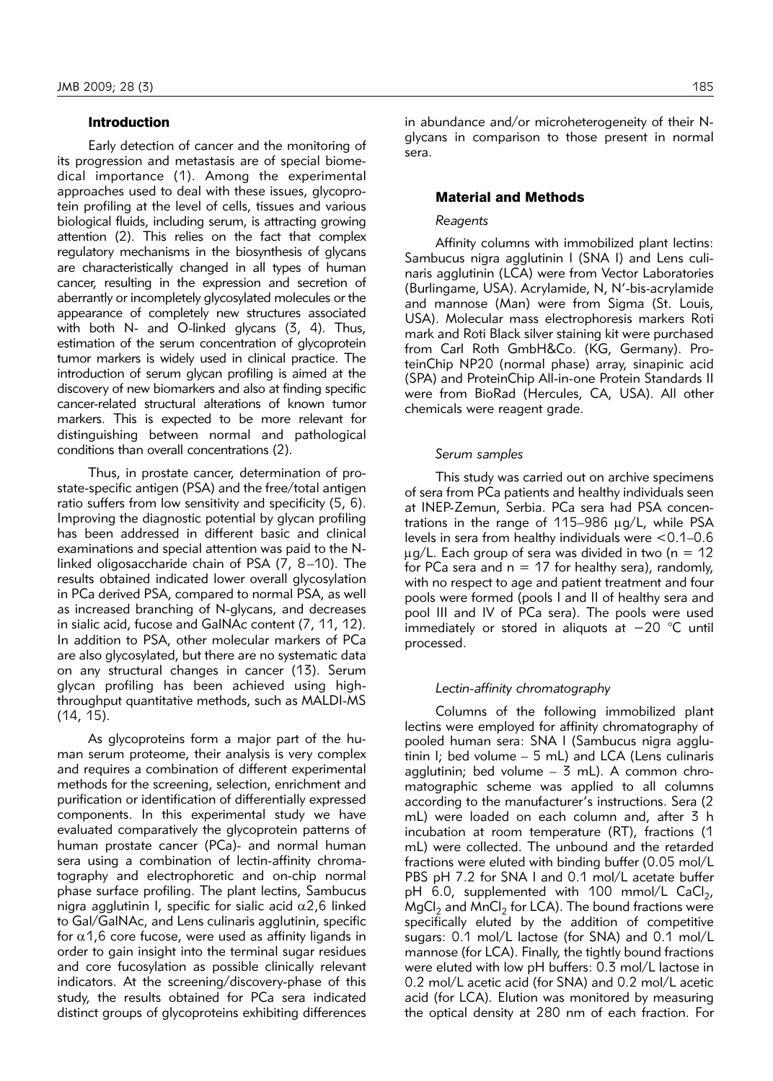## Introduction

Early detection of cancer and the monitoring of its progression and metastasis are of special biomedical importance (1). Among the experimental approaches used to deal with these issues, glycoprotein profiling at the level of cells, tissues and various biological fluids, including serum, is attracting growing attention (2). This relies on the fact that complex regulatory mechanisms in the biosynthesis of glycans are characteristically changed in all types of human cancer, resulting in the expression and secretion of aberrantly or incompletely glycosylated molecules or the appearance of completely new structures associated with both N- and O-linked glycans (3, 4). Thus, estimation of the serum concentration of glycoprotein tumor markers is widely used in clinical practice. The introduction of serum glycan profiling is aimed at the discovery of new biomarkers and also at finding specific cancer-related structural alterations of known tumor markers. This is expected to be more relevant for distinguishing between normal and pathological conditions than overall concentrations (2).

Thus, in prostate cancer, determination of prostate-specific antigen (PSA) and the free/total antigen ratio suffers from low sensitivity and specificity (5, 6). Improving the diagnostic potential by glycan profiling has been addressed in different basic and clinical examinations and special attention was paid to the Nlinked oligosaccharide chain of PSA (7, 8–10). The results obtained indicated lower overall glycosylation in PCa derived PSA, compared to normal PSA, as well as increased branching of N-glycans, and decreases in sialic acid, fucose and GalNAc content (7, 11, 12). In addition to PSA, other molecular markers of PCa are also glycosylated, but there are no systematic data on any structural changes in cancer (13). Serum glycan profiling has been achieved using highthroughput quantitative methods, such as MALDI-MS (14, 15).

As glycoproteins form a major part of the human serum proteome, their analysis is very complex and requires a combination of different experimental methods for the screening, selection, enrichment and purification or identification of differentially expressed components. In this experimental study we have evaluated comparatively the glycoprotein patterns of human prostate cancer (PCa)- and normal human sera using a combination of lectin-affinity chromatography and electrophoretic and on-chip normal phase surface profiling. The plant lectins, Sambucus nigra agglutinin I, specific for sialic acid  $\alpha$ 2,6 linked to Gal/GalNAc, and Lens culinaris agglutinin, specific for  $\alpha$ 1,6 core fucose, were used as affinity ligands in order to gain insight into the terminal sugar residues and core fucosylation as possible clinically relevant indicators. At the screening/discovery-phase of this study, the results obtained for PCa sera indicated distinct groups of glycoproteins exhibiting differences in abundance and/or microheterogeneity of their Nglycans in comparison to those present in normal sera.

#### Material and Methods

## *Reagents*

Affinity columns with immobilized plant lectins: Sambucus nigra agglutinin I (SNA I) and Lens culinaris agglutinin (LCA) were from Vector Laboratories (Burlingame, USA). Acrylamide, N, N'-bis-acrylamide and mannose (Man) were from Sigma (St. Louis, USA). Molecular mass electrophoresis markers Roti mark and Roti Black silver staining kit were purchased from Carl Roth GmbH&Co. (KG, Germany). ProteinChip NP20 (normal phase) array, sinapinic acid (SPA) and ProteinChip All-in-one Protein Standards II were from BioRad (Hercules, CA, USA). All other chemicals were reagent grade.

#### *Serum samples*

This study was carried out on archive specimens of sera from PCa patients and healthy individuals seen at INEP-Zemun, Serbia. PCa sera had PSA concentrations in the range of  $115-986 \mu g/L$ , while PSA levels in sera from healthy individuals were <0.1–0.6  $\mu$ g/L. Each group of sera was divided in two (n = 12 for PCa sera and  $n = 17$  for healthy sera), randomly, with no respect to age and patient treatment and four pools were formed (pools I and II of healthy sera and pool III and IV of PCa sera). The pools were used immediately or stored in aliquots at −20 °C until processed.

#### *Lectin-affinity chromatography*

Columns of the following immobilized plant lectins were employed for affinity chromatography of pooled human sera: SNA I (Sambucus nigra agglutinin I; bed volume – 5 mL) and LCA (Lens culinaris agglutinin; bed volume  $-$  3 mL). A common chromatographic scheme was applied to all columns according to the manufacturer's instructions. Sera (2 mL) were loaded on each column and, after 3 h incubation at room temperature (RT), fractions (1 mL) were collected. The unbound and the retarded fractions were eluted with binding buffer (0.05 mol/L PBS pH 7.2 for SNA I and 0.1 mol/L acetate buffer pH  $6.0$ , supplemented with 100 mmol/L CaCl<sub>2</sub>,  $MqCl<sub>2</sub>$  and MnCl<sub>2</sub> for LCA). The bound fractions were specifically eluted by the addition of competitive sugars: 0.1 mol/L lactose (for SNA) and 0.1 mol/L mannose (for LCA). Finally, the tightly bound fractions were eluted with low pH buffers: 0.3 mol/L lactose in 0.2 mol/L acetic acid (for SNA) and 0.2 mol/L acetic acid (for LCA). Elution was monitored by measuring the optical density at 280 nm of each fraction. For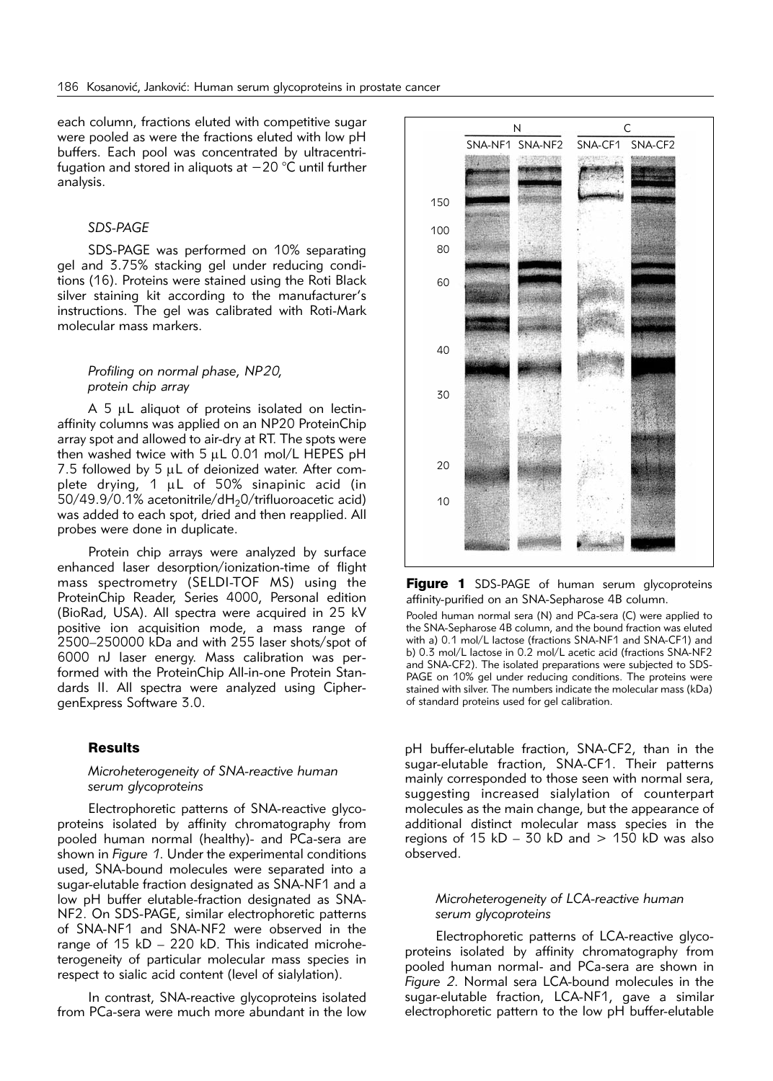each column, fractions eluted with competitive sugar were pooled as were the fractions eluted with low pH buffers. Each pool was concentrated by ultracentrifugation and stored in aliquots at −20 °C until further analysis.

#### *SDS-PAGE*

SDS-PAGE was performed on 10% separating gel and 3.75% stacking gel under reducing conditions (16). Proteins were stained using the Roti Black silver staining kit according to the manufacturer's instructions. The gel was calibrated with Roti-Mark molecular mass markers.

## *Profiling on normal phase, NP20, protein chip array*

A 5 µL aliquot of proteins isolated on lectinaffinity columns was applied on an NP20 ProteinChip array spot and allowed to air-dry at RT. The spots were then washed twice with  $5$   $\mu$ L 0.01 mol/L HEPES pH 7.5 followed by 5  $\mu$ L of deionized water. After complete drying, 1 µL of 50% sinapinic acid (in  $50/49.9/0.1%$  acetonitrile/dH<sub>2</sub>0/trifluoroacetic acid) was added to each spot, dried and then reapplied. All probes were done in duplicate.

Protein chip arrays were analyzed by surface enhanced laser desorption/ionization-time of flight mass spectrometry (SELDI-TOF MS) using the ProteinChip Reader, Series 4000, Personal edition (BioRad, USA). All spectra were acquired in 25 kV positive ion acquisition mode, a mass range of 2500–250000 kDa and with 255 laser shots/spot of 6000 nJ laser energy. Mass calibration was per formed with the ProteinChip All-in-one Protein Standards II. All spectra were analyzed using CiphergenExpress Software 3.0.

#### **Results**

## *Microheterogeneity of SNA-reactive human serum glycoproteins*

Electrophoretic patterns of SNA-reactive glycoproteins isolated by affinity chromatography from pooled human normal (healthy)- and PCa-sera are shown in *Figure 1*. Under the experimental conditions used, SNA-bound molecules were separated into a sugar-elutable fraction designated as SNA-NF1 and a low pH buffer elutable-fraction designated as SNA-NF2. On SDS-PAGE, similar electrophoretic patterns of SNA-NF1 and SNA-NF2 were observed in the range of 15 kD - 220 kD. This indicated microhetero geneity of particular molecular mass species in respect to sialic acid content (level of sialylation).

In contrast, SNA-reactive glycoproteins isolated from PCa-sera were much more abundant in the low



Figure 1 SDS-PAGE of human serum glycoproteins affinity-purified on an SNA-Sepharose 4B column.

Pooled human normal sera (N) and PCa-sera (C) were applied to the SNA-Sepharose 4B column, and the bound fraction was eluted with a) 0.1 mol/L lactose (fractions SNA-NF1 and SNA-CF1) and b) 0.3 mol/L lactose in 0.2 mol/L acetic acid (fractions SNA-NF2 and SNA-CF2). The isolated preparations were subjected to SDS-PAGE on 10% gel under reducing conditions. The proteins were stained with silver. The numbers indicate the molecular mass (kDa) of standard proteins used for gel calibration.

pH buffer-elutable fraction, SNA-CF2, than in the sugar-elutable fraction, SNA-CF1. Their patterns mainly corresponded to those seen with normal sera, suggesting increased sialylation of counterpart molecules as the main change, but the appearance of additional distinct molecular mass species in the regions of 15  $kD - 30$   $kD$  and  $> 150$   $kD$  was also observed.

## *Microheterogeneity of LCA-reactive human serum glycoproteins*

Electrophoretic patterns of LCA-reactive glycoproteins isolated by affinity chromatography from pooled human normal- and PCa-sera are shown in *Figure 2*. Normal sera LCA-bound molecules in the sugar-elutable fraction, LCA-NF1, gave a similar electrophoretic pattern to the low pH buffer-elutable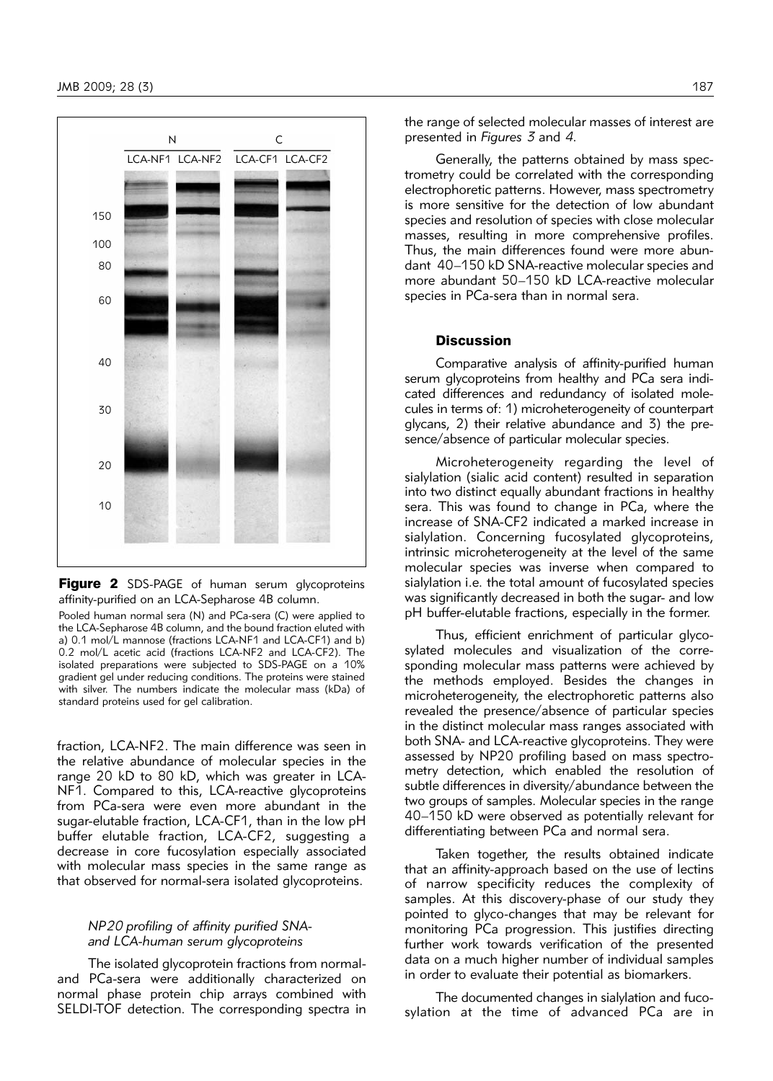

Figure 2 SDS-PAGE of human serum glycoproteins affinity-purified on an LCA-Sepharose 4B column.

Pooled human normal sera (N) and PCa-sera (C) were applied to the LCA-Sepharose 4B column, and the bound fraction eluted with a) 0.1 mol/L mannose (fractions LCA-NF1 and LCA-CF1) and b) 0.2 mol/L acetic acid (fractions LCA-NF2 and LCA-CF2). The isolated preparations were subjected to SDS-PAGE on a 10% gradient gel under reducing conditions. The proteins were stained with silver. The numbers indicate the molecular mass (kDa) of standard proteins used for gel calibration.

fraction, LCA-NF2. The main difference was seen in the relative abundance of molecular species in the range 20 kD to 80 kD, which was greater in LCA-NF1. Compared to this, LCA-reactive glycoproteins from PCa-sera were even more abundant in the sugar-elutable fraction, LCA-CF1, than in the low pH buffer elutable fraction, LCA-CF2, suggesting a decrease in core fucosylation especially associated with molecular mass species in the same range as that observed for normal-sera isolated glycoproteins.

## *NP20 profiling of affinity purified SNAand LCA-human serum glycoproteins*

The isolated glycoprotein fractions from normaland PCa-sera were additionally characterized on normal phase protein chip arrays combined with SELDI-TOF detection. The corresponding spectra in

Generally, the patterns obtained by mass spectrometry could be correlated with the corresponding electrophoretic patterns. However, mass spectrometry is more sensitive for the detection of low abundant species and resolution of species with close molecular masses, resulting in more comprehensive profiles. Thus, the main differences found were more abundant 40–150 kD SNA-reactive molecular species and more abundant 50–150 kD LCA-reactive molecular species in PCa-sera than in normal sera.

## Discussion

Comparative analysis of affinity-purified human serum glycoproteins from healthy and PCa sera indicated differences and redundancy of isolated molecules in terms of: 1) microheterogeneity of counterpart glycans, 2) their relative abundance and 3) the presence/absence of particular molecular species.

Microheterogeneity regarding the level of sialylation (sialic acid content) resulted in separation into two distinct equally abundant fractions in healthy sera. This was found to change in PCa, where the increase of SNA-CF2 indicated a marked increase in sialylation. Concerning fucosylated glycoproteins, intrinsic microheterogeneity at the level of the same molecular species was inverse when compared to sialylation i.e*.* the total amount of fucosylated species was significantly decreased in both the sugar- and low pH buffer-elutable fractions, especially in the former.

Thus, efficient enrichment of particular glycosylated molecules and visualization of the corresponding molecular mass patterns were achieved by the methods employed. Besides the changes in microheterogeneity, the electrophoretic patterns also revealed the presence/absence of particular species in the distinct molecular mass ranges associated with both SNA- and LCA-reactive glycoproteins. They were assessed by NP20 profiling based on mass spectrometry detection, which enabled the resolution of subtle differences in diversity/abundance between the two groups of samples. Molecular species in the range 40–150 kD were observed as potentially relevant for differentiating between PCa and normal sera.

Taken together, the results obtained indicate that an affinity-approach based on the use of lectins of narrow specificity reduces the complexity of samples. At this discovery-phase of our study they pointed to glyco-changes that may be relevant for monitoring PCa progression. This justifies directing further work towards verification of the presented data on a much higher number of individual samples in order to evaluate their potential as biomarkers.

The documented changes in sialylation and fucosylation at the time of advanced PCa are in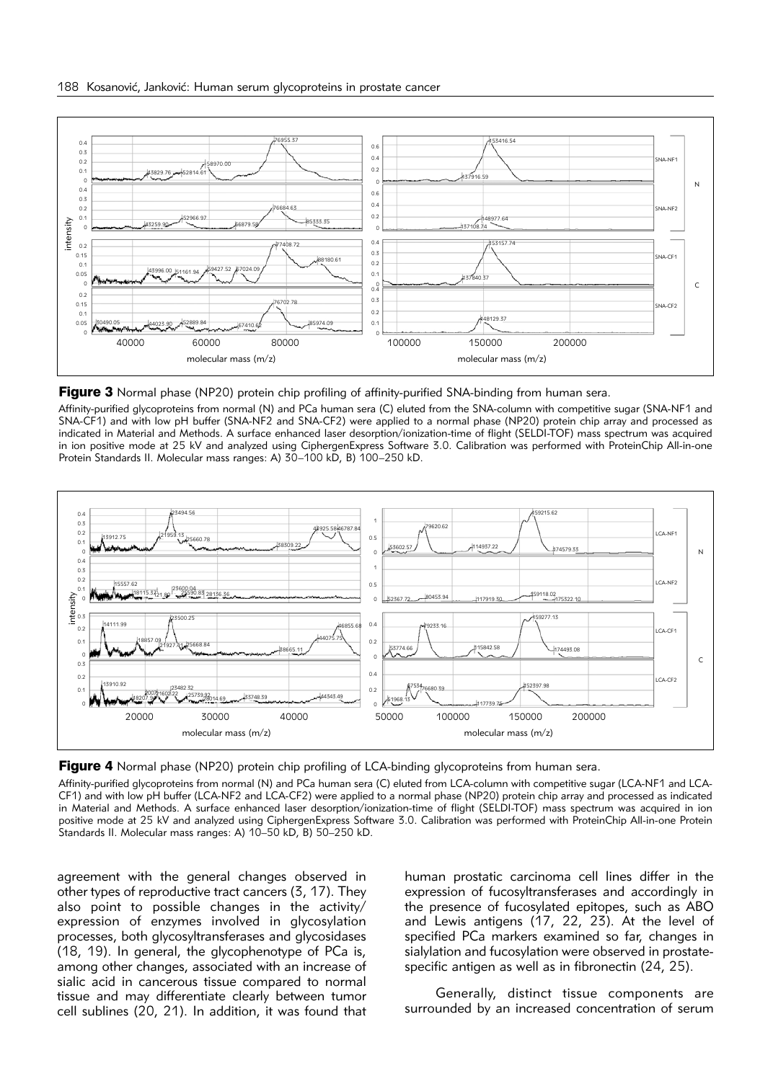

**Figure 3** Normal phase (NP20) protein chip profiling of affinity-purified SNA-binding from human sera.

Affinity-purified glycoproteins from normal (N) and PCa human sera (C) eluted from the SNA-column with competitive sugar (SNA-NF1 and SNA-CF1) and with low pH buffer (SNA-NF2 and SNA-CF2) were applied to a normal phase (NP20) protein chip array and processed as indicated in Material and Methods. A surface enhanced laser desorption/ionization-time of flight (SELDI-TOF) mass spectrum was acquired in ion positive mode at 25 kV and analyzed using CiphergenExpress Software 3.0. Calibration was performed with ProteinChip All-in-one Protein Standards II. Molecular mass ranges: A) 30–100 kD, B) 100–250 kD.



**Figure 4** Normal phase (NP20) protein chip profiling of LCA-binding glycoproteins from human sera.

Affinity-purified glycoproteins from normal (N) and PCa human sera (C) eluted from LCA-column with competitive sugar (LCA-NF1 and LCA-CF1) and with low pH buffer (LCA-NF2 and LCA-CF2) were applied to a normal phase (NP20) protein chip array and processed as indicated in Material and Methods. A surface enhanced laser desorption/ionization-time of flight (SELDI-TOF) mass spectrum was acquired in ion positive mode at 25 kV and analyzed using CiphergenExpress Software 3.0. Calibration was performed with ProteinChip All-in-one Protein Standards II. Molecular mass ranges: A) 10–50 kD, B) 50–250 kD.

agreement with the general changes observed in other types of reproductive tract cancers (3, 17). They also point to possible changes in the activity/ expression of enzymes involved in glycosylation processes, both glycosyltransferases and glycosidases (18, 19). In general, the glycophenotype of PCa is, among other changes, associated with an increase of sialic acid in cancerous tissue compared to normal tissue and may differentiate clearly between tumor cell sublines (20, 21). In addition, it was found that human prostatic carcinoma cell lines differ in the expression of fucosyltransferases and accordingly in the presence of fucosylated epitopes, such as ABO and Lewis antigens  $(17, 22, 23)$ . At the level of specified PCa markers examined so far, changes in sialylation and fucosylation were observed in prostatespecific antigen as well as in fibronectin  $(24, 25)$ .

Generally, distinct tissue components are surrounded by an increased concentration of serum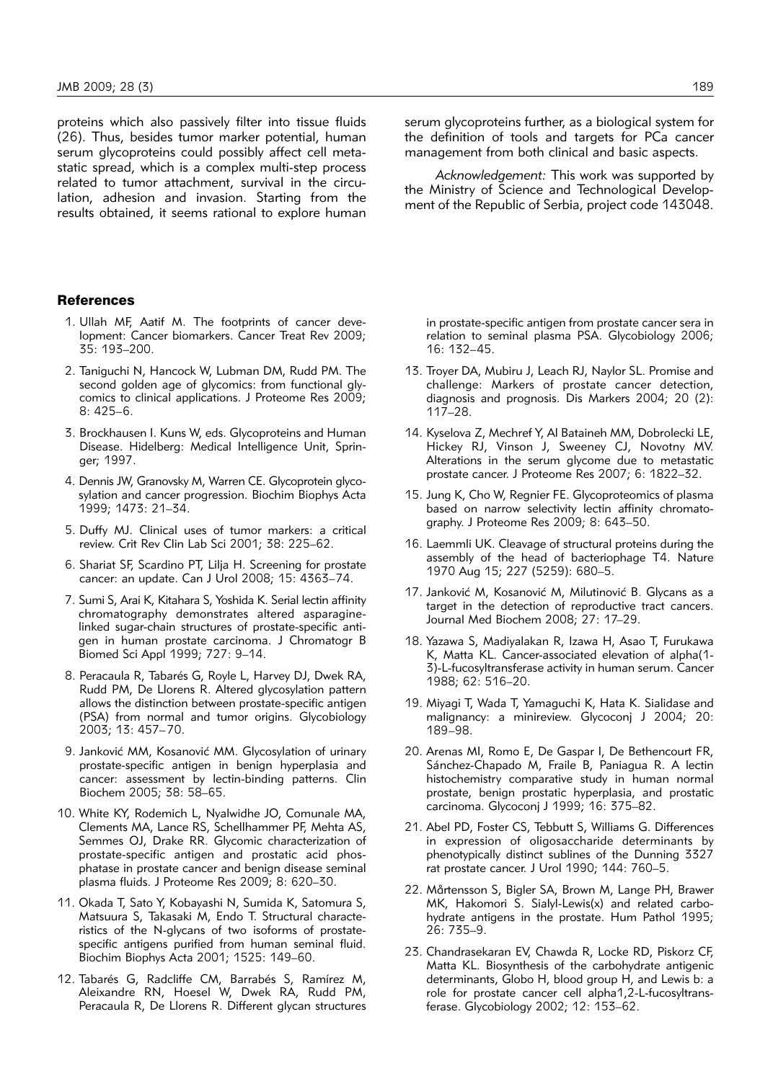proteins which also passively filter into tissue fluids (26). Thus, besides tumor marker potential, human serum glycoproteins could possibly affect cell metastatic spread, which is a complex multi-step process related to tumor attachment, survival in the circulation, adhesion and invasion. Starting from the results obtained, it seems rational to explore human

#### References

- 1. Ullah MF, Aatif M. The footprints of cancer development: Cancer biomarkers. Cancer Treat Rev 2009; 35: 193–200.
- 2. Taniguchi N, Hancock W, Lubman DM, Rudd PM. The second golden age of glycomics: from functional glycomics to clinical applications. J Proteome Res 2009; 8: 425–6.
- 3. Brockhausen I. Kuns W, eds. Glycoproteins and Human Disease. Hidelberg: Medical Intelligence Unit, Springer; 1997.
- 4. Dennis JW, Granovsky M, Warren CE. Glycoprotein glycosylation and cancer progression. Biochim Biophys Acta 1999; 1473: 21–34.
- 5. Duffy MJ. Clinical uses of tumor markers: a critical review. Crit Rev Clin Lab Sci 2001; 38: 225–62.
- 6. Shariat SF, Scardino PT, Lilja H. Screening for prostate cancer: an update. Can J Urol 2008; 15: 4363–74.
- 7. Sumi S, Arai K, Kitahara S, Yoshida K. Serial lectin affinity chromatography demonstrates altered asparaginelinked sugar-chain structures of prostate-specific antigen in human prostate carcinoma. J Chromatogr B Biomed Sci Appl 1999; 727: 9–14.
- 8. Peracaula R, Tabarés G, Royle L, Harvey DJ, Dwek RA, Rudd PM, De Llorens R. Altered glycosylation pattern allows the distinction between prostate-specific antigen (PSA) from normal and tumor origins. Glycobiology 2003; 13: 457–70.
- 9. Janković MM, Kosanović MM. Glycosylation of urinary prostate-specific antigen in benign hyperplasia and cancer: assessment by lectin-binding patterns. Clin Biochem 2005; 38: 58–65.
- 10. White KY, Rodemich L, Nyalwidhe JO, Comunale MA, Clements MA, Lance RS, Schellhammer PF, Mehta AS, Semmes OJ, Drake RR. Glycomic characterization of prostate-specific antigen and prostatic acid phosphatase in prostate cancer and benign disease seminal plasma fluids. J Proteome Res 2009; 8: 620–30.
- 11. Okada T, Sato Y, Kobayashi N, Sumida K, Satomura S, Matsuura S, Takasaki M, Endo T. Structural characteristics of the N-glycans of two isoforms of prostatespecific antigens purified from human seminal fluid. Biochim Biophys Acta 2001; 1525: 149–60.
- 12. Tabarés G, Radcliffe CM, Barrabés S, Ramírez M, Aleixandre RN, Hoesel W, Dwek RA, Rudd PM, Peracaula R, De Llorens R. Different glycan structures

serum glycoproteins further, as a biological system for the definition of tools and targets for PCa cancer management from both clinical and basic aspects.

*Acknowledgement:* This work was supported by the Ministry of Science and Technological Development of the Republic of Serbia, project code 143048.

in prostate-specific antigen from prostate cancer sera in relation to seminal plasma PSA. Glycobiology 2006; 16: 132–45.

- 13. Troyer DA, Mubiru J, Leach RJ, Naylor SL. Promise and challenge: Markers of prostate cancer detection, diagnosis and prognosis. Dis Markers 2004; 20 (2): 117–28.
- 14. Kyselova Z, Mechref Y, Al Bataineh MM, Dobrolecki LE, Hickey RJ, Vinson J, Sweeney CJ, Novotny MV. Alterations in the serum glycome due to metastatic prostate cancer. J Proteome Res 2007; 6: 1822–32.
- 15. Jung K, Cho W, Regnier FE. Glycoproteomics of plasma based on narrow selectivity lectin affinity chromatography. J Proteome Res 2009; 8: 643–50.
- 16. Laemmli UK. Cleavage of structural proteins during the assembly of the head of bacteriophage T4. Nature 1970 Aug 15; 227 (5259): 680–5.
- 17. Janković M, Kosanović M, Milutinović B. Glycans as a target in the detection of reproductive tract cancers. Journal Med Biochem 2008; 27: 17–29.
- 18. Yazawa S, Madiyalakan R, Izawa H, Asao T, Furukawa K, Matta KL. Cancer-associated elevation of alpha(1- 3)-L-fucosyltransferase activity in human serum. Cancer 1988; 62: 516–20.
- 19. Miyagi T, Wada T, Yamaguchi K, Hata K. Sialidase and malignancy: a minireview. Glycoconj J 2004; 20: 189–98.
- 20. Arenas MI, Romo E, De Gaspar I, De Bethencourt FR, Sánchez-Chapado M, Fraile B, Paniagua R. A lectin histochemistry comparative study in human normal prostate, benign prostatic hyperplasia, and prostatic carcinoma. Glycoconj J 1999; 16: 375–82.
- 21. Abel PD, Foster CS, Tebbutt S, Williams G. Differences in expression of oligosaccharide determinants by phenotypically distinct sublines of the Dunning 3327 rat prostate cancer. J Urol 1990; 144: 760–5.
- 22. Mårtensson S, Bigler SA, Brown M, Lange PH, Brawer MK, Hakomori S. Sialyl-Lewis(x) and related carbohydrate antigens in the prostate. Hum Pathol 1995; 26: 735–9.
- 23. Chandrasekaran EV, Chawda R, Locke RD, Piskorz CF, Matta KL. Biosynthesis of the carbohydrate antigenic determinants, Globo H, blood group H, and Lewis b: a role for prostate cancer cell alpha1,2-L-fucosyltransferase. Glycobiology 2002; 12: 153–62.